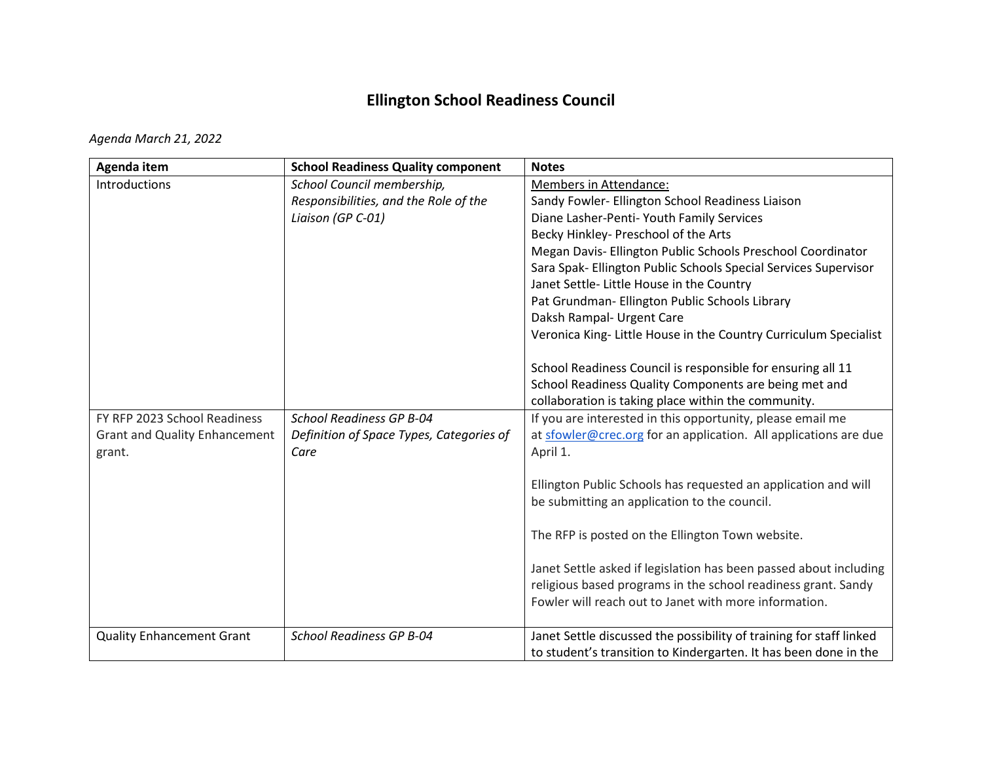## **Ellington School Readiness Council**

## *Agenda March 21, 2022*

| Agenda item                          | <b>School Readiness Quality component</b> | <b>Notes</b>                                                        |
|--------------------------------------|-------------------------------------------|---------------------------------------------------------------------|
| Introductions                        | School Council membership,                | Members in Attendance:                                              |
|                                      | Responsibilities, and the Role of the     | Sandy Fowler- Ellington School Readiness Liaison                    |
|                                      | Liaison (GP C-01)                         | Diane Lasher-Penti- Youth Family Services                           |
|                                      |                                           | Becky Hinkley- Preschool of the Arts                                |
|                                      |                                           | Megan Davis- Ellington Public Schools Preschool Coordinator         |
|                                      |                                           | Sara Spak- Ellington Public Schools Special Services Supervisor     |
|                                      |                                           | Janet Settle- Little House in the Country                           |
|                                      |                                           | Pat Grundman- Ellington Public Schools Library                      |
|                                      |                                           | Daksh Rampal- Urgent Care                                           |
|                                      |                                           | Veronica King- Little House in the Country Curriculum Specialist    |
|                                      |                                           |                                                                     |
|                                      |                                           | School Readiness Council is responsible for ensuring all 11         |
|                                      |                                           | School Readiness Quality Components are being met and               |
|                                      |                                           | collaboration is taking place within the community.                 |
| FY RFP 2023 School Readiness         | <b>School Readiness GP B-04</b>           | If you are interested in this opportunity, please email me          |
| <b>Grant and Quality Enhancement</b> | Definition of Space Types, Categories of  | at sfowler@crec.org for an application. All applications are due    |
| grant.                               | Care                                      | April 1.                                                            |
|                                      |                                           | Ellington Public Schools has requested an application and will      |
|                                      |                                           | be submitting an application to the council.                        |
|                                      |                                           |                                                                     |
|                                      |                                           | The RFP is posted on the Ellington Town website.                    |
|                                      |                                           | Janet Settle asked if legislation has been passed about including   |
|                                      |                                           | religious based programs in the school readiness grant. Sandy       |
|                                      |                                           | Fowler will reach out to Janet with more information.               |
|                                      |                                           |                                                                     |
| <b>Quality Enhancement Grant</b>     | <b>School Readiness GP B-04</b>           | Janet Settle discussed the possibility of training for staff linked |
|                                      |                                           | to student's transition to Kindergarten. It has been done in the    |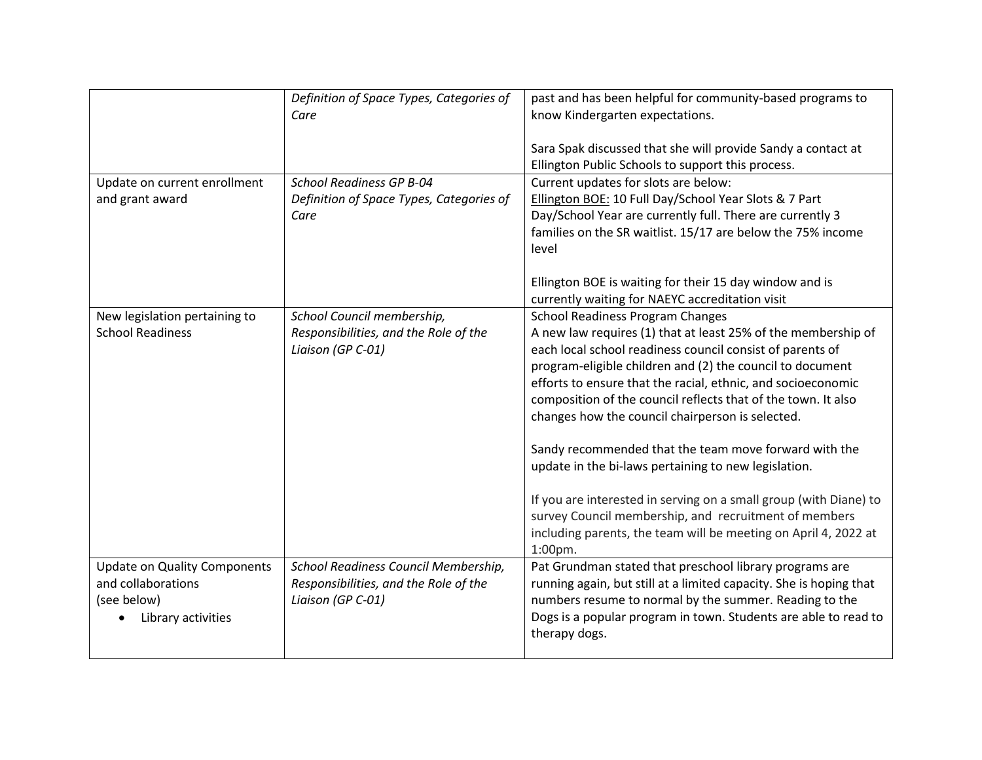|                                                                                                | Definition of Space Types, Categories of<br>Care                                                   | past and has been helpful for community-based programs to<br>know Kindergarten expectations.<br>Sara Spak discussed that she will provide Sandy a contact at<br>Ellington Public Schools to support this process.                                                                                                                                                                                                                                                                                                                                                                                                                                                                                                                                    |
|------------------------------------------------------------------------------------------------|----------------------------------------------------------------------------------------------------|------------------------------------------------------------------------------------------------------------------------------------------------------------------------------------------------------------------------------------------------------------------------------------------------------------------------------------------------------------------------------------------------------------------------------------------------------------------------------------------------------------------------------------------------------------------------------------------------------------------------------------------------------------------------------------------------------------------------------------------------------|
| Update on current enrollment<br>and grant award                                                | <b>School Readiness GP B-04</b><br>Definition of Space Types, Categories of<br>Care                | Current updates for slots are below:<br>Ellington BOE: 10 Full Day/School Year Slots & 7 Part<br>Day/School Year are currently full. There are currently 3<br>families on the SR waitlist. 15/17 are below the 75% income<br>level                                                                                                                                                                                                                                                                                                                                                                                                                                                                                                                   |
|                                                                                                |                                                                                                    | Ellington BOE is waiting for their 15 day window and is<br>currently waiting for NAEYC accreditation visit                                                                                                                                                                                                                                                                                                                                                                                                                                                                                                                                                                                                                                           |
| New legislation pertaining to<br><b>School Readiness</b>                                       | School Council membership,<br>Responsibilities, and the Role of the<br>Liaison (GP C-01)           | <b>School Readiness Program Changes</b><br>A new law requires (1) that at least 25% of the membership of<br>each local school readiness council consist of parents of<br>program-eligible children and (2) the council to document<br>efforts to ensure that the racial, ethnic, and socioeconomic<br>composition of the council reflects that of the town. It also<br>changes how the council chairperson is selected.<br>Sandy recommended that the team move forward with the<br>update in the bi-laws pertaining to new legislation.<br>If you are interested in serving on a small group (with Diane) to<br>survey Council membership, and recruitment of members<br>including parents, the team will be meeting on April 4, 2022 at<br>1:00pm. |
| <b>Update on Quality Components</b><br>and collaborations<br>(see below)<br>Library activities | School Readiness Council Membership,<br>Responsibilities, and the Role of the<br>Liaison (GP C-01) | Pat Grundman stated that preschool library programs are<br>running again, but still at a limited capacity. She is hoping that<br>numbers resume to normal by the summer. Reading to the<br>Dogs is a popular program in town. Students are able to read to<br>therapy dogs.                                                                                                                                                                                                                                                                                                                                                                                                                                                                          |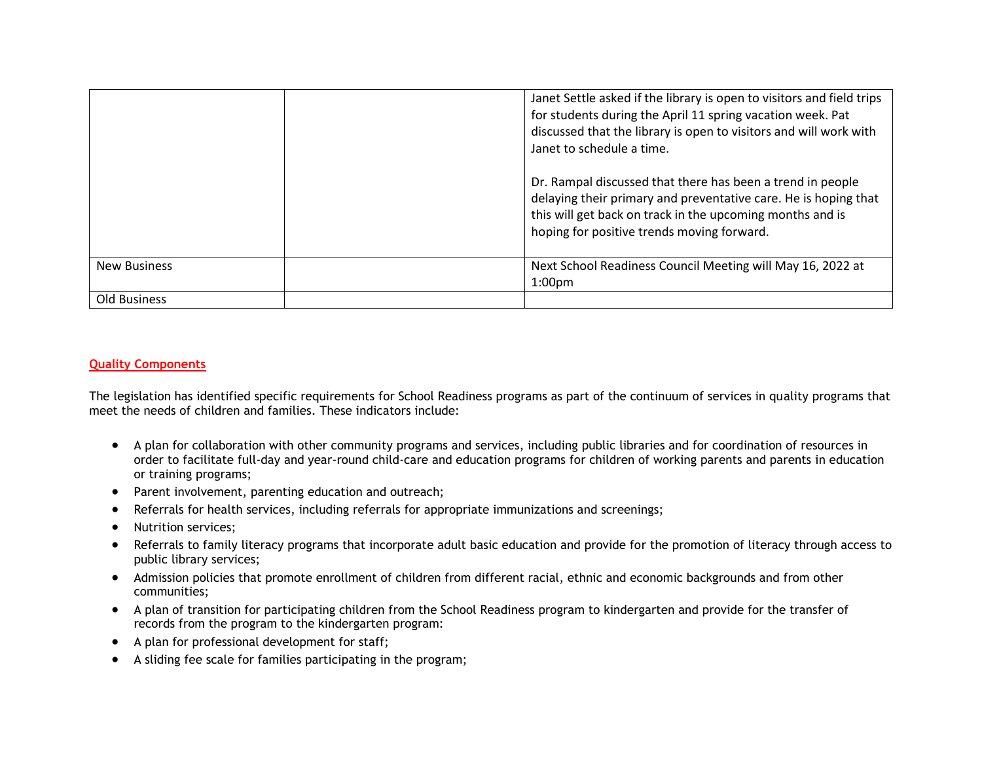|                     | Janet Settle asked if the library is open to visitors and field trips<br>for students during the April 11 spring vacation week. Pat<br>discussed that the library is open to visitors and will work with<br>Janet to schedule a time.    |
|---------------------|------------------------------------------------------------------------------------------------------------------------------------------------------------------------------------------------------------------------------------------|
|                     | Dr. Rampal discussed that there has been a trend in people<br>delaying their primary and preventative care. He is hoping that<br>this will get back on track in the upcoming months and is<br>hoping for positive trends moving forward. |
| <b>New Business</b> | Next School Readiness Council Meeting will May 16, 2022 at<br>1:00 <sub>pm</sub>                                                                                                                                                         |
| <b>Old Business</b> |                                                                                                                                                                                                                                          |

## **Quality Components**

The legislation has identified specific requirements for School Readiness programs as part of the continuum of services in quality programs that meet the needs of children and families. These indicators include:

- A plan for collaboration with other community programs and services, including public libraries and for coordination of resources in order to facilitate full-day and year-round child-care and education programs for children of working parents and parents in education or training programs;
- Parent involvement, parenting education and outreach;
- Referrals for health services, including referrals for appropriate immunizations and screenings;
- Nutrition services;
- Referrals to family literacy programs that incorporate adult basic education and provide for the promotion of literacy through access to public library services;
- Admission policies that promote enrollment of children from different racial, ethnic and economic backgrounds and from other communities;
- A plan of transition for participating children from the School Readiness program to kindergarten and provide for the transfer of records from the program to the kindergarten program:
- A plan for professional development for staff;
- A sliding fee scale for families participating in the program;